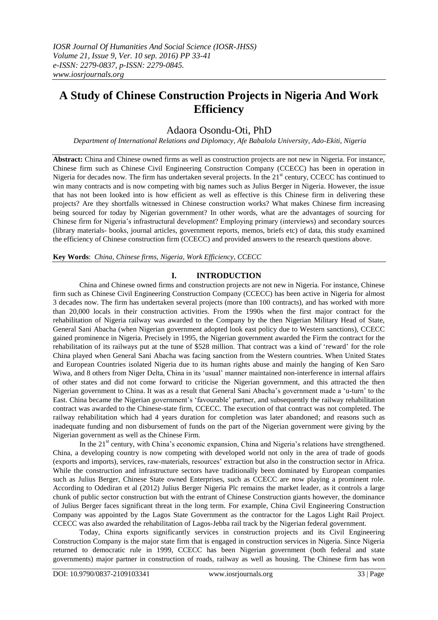# **A Study of Chinese Construction Projects in Nigeria And Work Efficiency**

# Adaora Osondu-Oti, PhD

*Department of International Relations and Diplomacy, Afe Babalola University, Ado-Ekiti, Nigeria*

**Abstract:** China and Chinese owned firms as well as construction projects are not new in Nigeria. For instance, Chinese firm such as Chinese Civil Engineering Construction Company (CCECC) has been in operation in Nigeria for decades now. The firm has undertaken several projects. In the  $21<sup>st</sup>$  century, CCECC has continued to win many contracts and is now competing with big names such as Julius Berger in Nigeria. However, the issue that has not been looked into is how efficient as well as effective is this Chinese firm in delivering these projects? Are they shortfalls witnessed in Chinese construction works? What makes Chinese firm increasing being sourced for today by Nigerian government? In other words, what are the advantages of sourcing for Chinese firm for Nigeria"s infrastructural development? Employing primary (interviews) and secondary sources (library materials- books, journal articles, government reports, memos, briefs etc) of data, this study examined the efficiency of Chinese construction firm (CCECC) and provided answers to the research questions above.

**Key Words**: *China, Chinese firms, Nigeria, Work Efficiency, CCECC*

## **I. INTRODUCTION**

China and Chinese owned firms and construction projects are not new in Nigeria. For instance, Chinese firm such as Chinese Civil Engineering Construction Company (CCECC) has been active in Nigeria for almost 3 decades now. The firm has undertaken several projects (more than 100 contracts), and has worked with more than 20,000 locals in their construction activities. From the 1990s when the first major contract for the rehabilitation of Nigeria railway was awarded to the Company by the then Nigerian Military Head of State, General Sani Abacha (when Nigerian government adopted look east policy due to Western sanctions), CCECC gained prominence in Nigeria. Precisely in 1995, the Nigerian government awarded the Firm the contract for the rehabilitation of its railways put at the tune of \$528 million. That contract was a kind of "reward" for the role China played when General Sani Abacha was facing sanction from the Western countries. When United States and European Countries isolated Nigeria due to its human rights abuse and mainly the hanging of Ken Saro Wiwa, and 8 others from Niger Delta, China in its "usual" manner maintained non-interference in internal affairs of other states and did not come forward to criticise the Nigerian government, and this attracted the then Nigerian government to China. It was as a result that General Sani Abacha"s government made a "u-turn" to the East. China became the Nigerian government"s "favourable" partner, and subsequently the railway rehabilitation contract was awarded to the Chinese-state firm, CCECC. The execution of that contract was not completed. The railway rehabilitation which had 4 years duration for completion was later abandoned; and reasons such as inadequate funding and non disbursement of funds on the part of the Nigerian government were giving by the Nigerian government as well as the Chinese Firm.

In the  $21<sup>st</sup>$  century, with China's economic expansion, China and Nigeria's relations have strengthened. China, a developing country is now competing with developed world not only in the area of trade of goods (exports and imports), services, raw-materials, resources" extraction but also in the construction sector in Africa. While the construction and infrastructure sectors have traditionally been dominated by European companies such as Julius Berger, Chinese State owned Enterprises, such as CCECC are now playing a prominent role. According to Odediran et al (2012) Julius Berger Nigeria Plc remains the market leader, as it controls a large chunk of public sector construction but with the entrant of Chinese Construction giants however, the dominance of Julius Berger faces significant threat in the long term. For example, China Civil Engineering Construction Company was appointed by the Lagos State Government as the contractor for the Lagos Light Rail Project. CCECC was also awarded the rehabilitation of Lagos-Jebba rail track by the Nigerian federal government.

Today, China exports significantly services in construction projects and its Civil Engineering Construction Company is the major state firm that is engaged in construction services in Nigeria. Since Nigeria returned to democratic rule in 1999, CCECC has been Nigerian government (both federal and state governments) major partner in construction of roads, railway as well as housing. The Chinese firm has won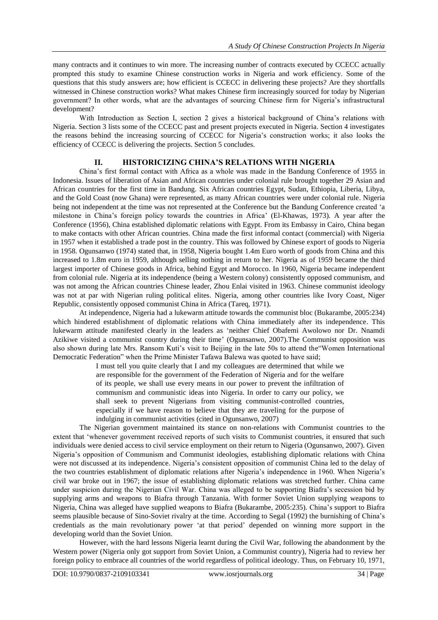many contracts and it continues to win more. The increasing number of contracts executed by CCECC actually prompted this study to examine Chinese construction works in Nigeria and work efficiency. Some of the questions that this study answers are; how efficient is CCECC in delivering these projects? Are they shortfalls witnessed in Chinese construction works? What makes Chinese firm increasingly sourced for today by Nigerian government? In other words, what are the advantages of sourcing Chinese firm for Nigeria"s infrastructural development?

With Introduction as Section I, section 2 gives a historical background of China's relations with Nigeria. Section 3 lists some of the CCECC past and present projects executed in Nigeria. Section 4 investigates the reasons behind the increasing sourcing of CCECC for Nigeria"s construction works; it also looks the efficiency of CCECC is delivering the projects. Section 5 concludes.

#### **II. HISTORICIZING CHINA'S RELATIONS WITH NIGERIA**

China"s first formal contact with Africa as a whole was made in the Bandung Conference of 1955 in Indonesia. Issues of liberation of Asian and African countries under colonial rule brought together 29 Asian and African countries for the first time in Bandung. Six African countries Egypt, Sudan, Ethiopia, Liberia, Libya, and the Gold Coast (now Ghana) were represented, as many African countries were under colonial rule. Nigeria being not independent at the time was not represented at the Conference but the Bandung Conference created "a milestone in China"s foreign policy towards the countries in Africa" (El-Khawas, 1973). A year after the Conference (1956), China established diplomatic relations with Egypt. From its Embassy in Cairo, China began to make contacts with other African countries. China made the first informal contact (commercial) with Nigeria in 1957 when it established a trade post in the country. This was followed by Chinese export of goods to Nigeria in 1958. Ogunsanwo (1974) stated that, in 1958, Nigeria bought 1.4m Euro worth of goods from China and this increased to 1.8m euro in 1959, although selling nothing in return to her. Nigeria as of 1959 became the third largest importer of Chinese goods in Africa, behind Egypt and Morocco. In 1960, Nigeria became independent from colonial rule. Nigeria at its independence (being a Western colony) consistently opposed communism, and was not among the African countries Chinese leader, Zhou Enlai visited in 1963. Chinese communist ideology was not at par with Nigerian ruling political elites. Nigeria, among other countries like Ivory Coast, Niger Republic, consistently opposed communist China in Africa (Tareq, 1971).

At independence, Nigeria had a lukewarm attitude towards the communist bloc (Bukarambe, 2005:234) which hindered establishment of diplomatic relations with China immediately after its independence. This lukewarm attitude manifested clearly in the leaders as "neither Chief Obafemi Awolowo nor Dr. Nnamdi Azikiwe visited a communist country during their time' (Ogunsanwo, 2007). The Communist opposition was also shown during late Mrs. Ransom Kuti's visit to Beijing in the late 50s to attend the "Women International Democratic Federation" when the Prime Minister Tafawa Balewa was quoted to have said;

> I must tell you quite clearly that I and my colleagues are determined that while we are responsible for the government of the Federation of Nigeria and for the welfare of its people, we shall use every means in our power to prevent the infiltration of communism and communistic ideas into Nigeria. In order to carry our policy, we shall seek to prevent Nigerians from visiting communist-controlled countries, especially if we have reason to believe that they are traveling for the purpose of indulging in communist activities (cited in Ogunsanwo, 2007)

The Nigerian government maintained its stance on non-relations with Communist countries to the extent that "whenever government received reports of such visits to Communist countries, it ensured that such individuals were denied access to civil service employment on their return to Nigeria (Ogunsanwo, 2007). Given Nigeria"s opposition of Communism and Communist ideologies, establishing diplomatic relations with China were not discussed at its independence. Nigeria"s consistent opposition of communist China led to the delay of the two countries establishment of diplomatic relations after Nigeria"s independence in 1960. When Nigeria"s civil war broke out in 1967; the issue of establishing diplomatic relations was stretched further. China came under suspicion during the Nigerian Civil War. China was alleged to be supporting Biafra"s secession bid by supplying arms and weapons to Biafra through Tanzania. With former Soviet Union supplying weapons to Nigeria, China was alleged have supplied weapons to Biafra (Bukarambe, 2005:235). China"s support to Biafra seems plausible because of Sino-Soviet rivalry at the time. According to Segal (1992) the burnishing of China"s credentials as the main revolutionary power "at that period" depended on winning more support in the developing world than the Soviet Union.

However, with the hard lessons Nigeria learnt during the Civil War, following the abandonment by the Western power (Nigeria only got support from Soviet Union, a Communist country), Nigeria had to review her foreign policy to embrace all countries of the world regardless of political ideology. Thus, on February 10, 1971,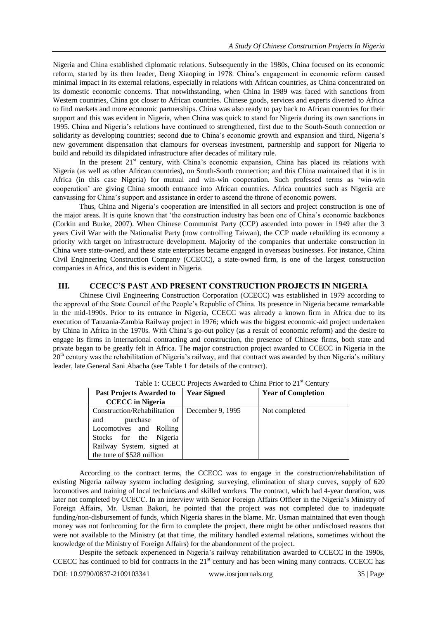Nigeria and China established diplomatic relations. Subsequently in the 1980s, China focused on its economic reform, started by its then leader, Deng Xiaoping in 1978. China"s engagement in economic reform caused minimal impact in its external relations, especially in relations with African countries, as China concentrated on its domestic economic concerns. That notwithstanding, when China in 1989 was faced with sanctions from Western countries, China got closer to African countries. Chinese goods, services and experts diverted to Africa to find markets and more economic partnerships. China was also ready to pay back to African countries for their support and this was evident in Nigeria, when China was quick to stand for Nigeria during its own sanctions in 1995. China and Nigeria"s relations have continued to strengthened, first due to the South-South connection or solidarity as developing countries; second due to China's economic growth and expansion and third, Nigeria's new government dispensation that clamours for overseas investment, partnership and support for Nigeria to build and rebuild its dilapidated infrastructure after decades of military rule.

In the present  $21<sup>st</sup>$  century, with China's economic expansion, China has placed its relations with Nigeria (as well as other African countries), on South-South connection; and this China maintained that it is in Africa (in this case Nigeria) for mutual and win-win cooperation. Such professed terms as "win-win cooperation" are giving China smooth entrance into African countries. Africa countries such as Nigeria are canvassing for China"s support and assistance in order to ascend the throne of economic powers.

Thus, China and Nigeria"s cooperation are intensified in all sectors and project construction is one of the major areas. It is quite known that "the construction industry has been one of China"s economic backbones (Corkin and Burke, 2007). When Chinese Communist Party (CCP) ascended into power in 1949 after the 3 years Civil War with the Nationalist Party (now controlling Taiwan), the CCP made rebuilding its economy a priority with target on infrastructure development. Majority of the companies that undertake construction in China were state-owned, and these state enterprises became engaged in overseas businesses. For instance, China Civil Engineering Construction Company (CCECC), a state-owned firm, is one of the largest construction companies in Africa, and this is evident in Nigeria.

#### **III. CCECC'S PAST AND PRESENT CONSTRUCTION PROJECTS IN NIGERIA**

Chinese Civil Engineering Construction Corporation (CCECC) was established in 1979 according to the approval of the State Council of the People"s Republic of China. Its presence in Nigeria became remarkable in the mid-1990s. Prior to its entrance in Nigeria, CCECC was already a known firm in Africa due to its execution of Tanzania-Zambia Railway project in 1976; which was the biggest economic-aid project undertaken by China in Africa in the 1970s. With China"s go-out policy (as a result of economic reform) and the desire to engage its firms in international contracting and construction, the presence of Chinese firms, both state and private began to be greatly felt in Africa. The major construction project awarded to CCECC in Nigeria in the  $20<sup>th</sup>$  century was the rehabilitation of Nigeria's railway, and that contract was awarded by then Nigeria's military leader, late General Sani Abacha (see Table 1 for details of the contract).

| Table 1. CCLCC 110 CGs Awarded to China 11101 to $\mathbb{Z}_1$ Century |                    |                           |  |
|-------------------------------------------------------------------------|--------------------|---------------------------|--|
| Past Projects Awarded to                                                | <b>Year Signed</b> | <b>Year of Completion</b> |  |
| <b>CCECC</b> in Nigeria                                                 |                    |                           |  |
| Construction/Rehabilitation                                             | December 9, 1995   | Not completed             |  |
| purchase<br>of<br>and                                                   |                    |                           |  |
| Locomotives and Rolling                                                 |                    |                           |  |
| Stocks for the Nigeria                                                  |                    |                           |  |
| Railway System, signed at                                               |                    |                           |  |
| the tune of \$528 million                                               |                    |                           |  |

Table 1: CCECC Projects Awarded to China Prior to 21<sup>st</sup> Century

According to the contract terms, the CCECC was to engage in the construction/rehabilitation of existing Nigeria railway system including designing, surveying, elimination of sharp curves, supply of 620 locomotives and training of local technicians and skilled workers. The contract, which had 4-year duration, was later not completed by CCECC. In an interview with Senior Foreign Affairs Officer in the Nigeria's Ministry of Foreign Affairs, Mr. Usman Bakori, he pointed that the project was not completed due to inadequate funding/non-disbursement of funds, which Nigeria shares in the blame. Mr. Usman maintained that even though money was not forthcoming for the firm to complete the project, there might be other undisclosed reasons that were not available to the Ministry (at that time, the military handled external relations, sometimes without the knowledge of the Ministry of Foreign Affairs) for the abandonment of the project.

Despite the setback experienced in Nigeria's railway rehabilitation awarded to CCECC in the 1990s, CCECC has continued to bid for contracts in the 21<sup>st</sup> century and has been wining many contracts. CCECC has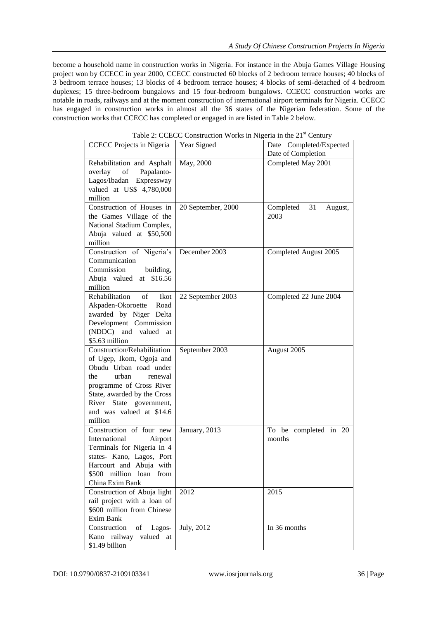become a household name in construction works in Nigeria. For instance in the Abuja Games Village Housing project won by CCECC in year 2000, CCECC constructed 60 blocks of 2 bedroom terrace houses; 40 blocks of 3 bedroom terrace houses; 13 blocks of 4 bedroom terrace houses; 4 blocks of semi-detached of 4 bedroom duplexes; 15 three-bedroom bungalows and 15 four-bedroom bungalows. CCECC construction works are notable in roads, railways and at the moment construction of international airport terminals for Nigeria. CCECC has engaged in construction works in almost all the 36 states of the Nigerian federation. Some of the construction works that CCECC has completed or engaged in are listed in Table 2 below.

| <b>CCECC</b> Projects in Nigeria                                                                                                                                                                                                          | Year Signed        | Date Completed/Expected<br>Date of Completion |
|-------------------------------------------------------------------------------------------------------------------------------------------------------------------------------------------------------------------------------------------|--------------------|-----------------------------------------------|
| Rehabilitation and Asphalt<br>Papalanto-<br>overlay<br>of<br>Lagos/Ibadan Expressway<br>valued at US\$ 4,780,000<br>million                                                                                                               | May, 2000          | Completed May 2001                            |
| Construction of Houses in<br>the Games Village of the<br>National Stadium Complex,<br>Abuja valued at \$50,500<br>million                                                                                                                 | 20 September, 2000 | Completed<br>31<br>August,<br>2003            |
| Construction of Nigeria's<br>Communication<br>Commission<br>building,<br>\$16.56<br>Abuja valued<br>at<br>million                                                                                                                         | December 2003      | Completed August 2005                         |
| Rehabilitation<br>οf<br>Ikot<br>Akpaden-Okoroette<br>Road<br>awarded by Niger Delta<br>Development Commission<br>(NDDC) and<br>valued<br>at<br>\$5.63 million                                                                             | 22 September 2003  | Completed 22 June 2004                        |
| Construction/Rehabilitation<br>of Ugep, Ikom, Ogoja and<br>Obudu Urban road under<br>urban<br>the<br>renewal<br>programme of Cross River<br>State, awarded by the Cross<br>River State government,<br>and was valued at \$14.6<br>million | September 2003     | August 2005                                   |
| Construction of four new<br>International<br>Airport<br>Terminals for Nigeria in 4<br>states- Kano, Lagos, Port<br>Harcourt and Abuja with<br>\$500<br>million loan<br>from<br>China Exim Bank                                            | January, 2013      | To be completed in 20<br>months               |
| Construction of Abuja light<br>rail project with a loan of<br>\$600 million from Chinese<br>Exim Bank                                                                                                                                     | 2012               | 2015                                          |
| Construction<br>of<br>Lagos-<br>Kano railway valued at<br>\$1.49 billion                                                                                                                                                                  | July, 2012         | In 36 months                                  |

Table 2: CCECC Construction Works in Nigeria in the 21<sup>st</sup> Century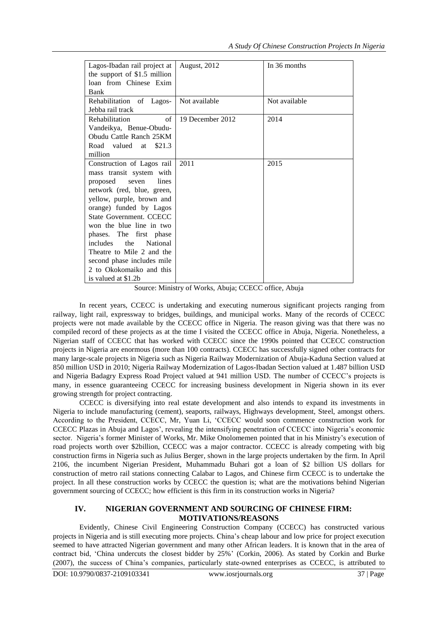| Lagos-Ibadan rail project at       | August, 2012     | In 36 months  |
|------------------------------------|------------------|---------------|
| the support of $$1.5$ million      |                  |               |
| loan from Chinese Exim             |                  |               |
| Bank                               |                  |               |
| Rehabilitation of Lagos-           | Not available    | Not available |
| Jebba rail track                   |                  |               |
| of<br>Rehabilitation               | 19 December 2012 | 2014          |
| Vandeikya, Benue-Obudu-            |                  |               |
| Obudu Cattle Ranch 25KM            |                  |               |
| Road valued<br>\$21.3<br>at        |                  |               |
| million                            |                  |               |
| Construction of Lagos rail         | 2011             | 2015          |
| mass transit system with           |                  |               |
| lines<br>proposed<br>seven         |                  |               |
| network (red, blue, green,         |                  |               |
| yellow, purple, brown and          |                  |               |
| orange) funded by Lagos            |                  |               |
| State Government, CCECC            |                  |               |
| won the blue line in two           |                  |               |
| phases. The first phase            |                  |               |
| the<br>includes<br><b>National</b> |                  |               |
| Theatre to Mile 2 and the          |                  |               |
| second phase includes mile         |                  |               |
| 2 to Okokomaiko and this           |                  |               |
| is valued at \$1.2b                |                  |               |

Source: Ministry of Works, Abuja; CCECC office, Abuja

In recent years, CCECC is undertaking and executing numerous significant projects ranging from railway, light rail, expressway to bridges, buildings, and municipal works. Many of the records of CCECC projects were not made available by the CCECC office in Nigeria. The reason giving was that there was no compiled record of these projects as at the time I visited the CCECC office in Abuja, Nigeria. Nonetheless, a Nigerian staff of CCECC that has worked with CCECC since the 1990s pointed that CCECC construction projects in Nigeria are enormous (more than 100 contracts). CCECC has successfully signed other contracts for many large-scale projects in Nigeria such as Nigeria Railway Modernization of Abuja-Kaduna Section valued at 850 million USD in 2010; Nigeria Railway Modernization of Lagos-Ibadan Section valued at 1.487 billion USD and Nigeria Badagry Express Road Project valued at 941 million USD. The number of CCECC"s projects is many, in essence guaranteeing CCECC for increasing business development in Nigeria shown in its ever growing strength for project contracting.

CCECC is diversifying into real estate development and also intends to expand its investments in Nigeria to include manufacturing (cement), seaports, railways, Highways development, Steel, amongst others. According to the President, CCECC, Mr, Yuan Li, "CCECC would soon commence construction work for CCECC Plazas in Abuja and Lagos', revealing the intensifying penetration of CCECC into Nigeria's economic sector. Nigeria's former Minister of Works, Mr. Mike Onolomemen pointed that in his Ministry's execution of road projects worth over \$2billion, CCECC was a major contractor. CCECC is already competing with big construction firms in Nigeria such as Julius Berger, shown in the large projects undertaken by the firm. In April 2106, the incumbent Nigerian President, Muhammadu Buhari got a loan of \$2 billion US dollars for construction of metro rail stations connecting Calabar to Lagos, and Chinese firm CCECC is to undertake the project. In all these construction works by CCECC the question is; what are the motivations behind Nigerian government sourcing of CCECC; how efficient is this firm in its construction works in Nigeria?

## **IV. NIGERIAN GOVERNMENT AND SOURCING OF CHINESE FIRM: MOTIVATIONS/REASONS**

Evidently, Chinese Civil Engineering Construction Company (CCECC) has constructed various projects in Nigeria and is still executing more projects. China"s cheap labour and low price for project execution seemed to have attracted Nigerian government and many other African leaders. It is known that in the area of contract bid, "China undercuts the closest bidder by 25%" (Corkin, 2006). As stated by Corkin and Burke (2007), the success of China"s companies, particularly state-owned enterprises as CCECC, is attributed to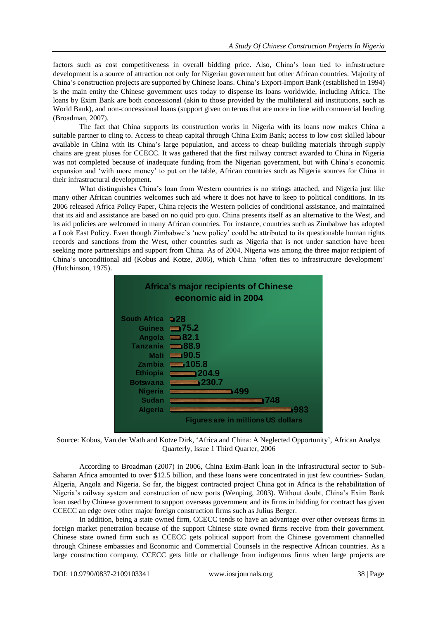factors such as cost competitiveness in overall bidding price. Also, China"s loan tied to infrastructure development is a source of attraction not only for Nigerian government but other African countries. Majority of China"s construction projects are supported by Chinese loans. China"s Export-Import Bank (established in 1994) is the main entity the Chinese government uses today to dispense its loans worldwide, including Africa. The loans by Exim Bank are both concessional (akin to those provided by the multilateral aid institutions, such as World Bank), and non-concessional loans (support given on terms that are more in line with commercial lending (Broadman, 2007).

The fact that China supports its construction works in Nigeria with its loans now makes China a suitable partner to cling to. Access to cheap capital through China Exim Bank; access to low cost skilled labour available in China with its China"s large population, and access to cheap building materials through supply chains are great pluses for CCECC. It was gathered that the first railway contract awarded to China in Nigeria was not completed because of inadequate funding from the Nigerian government, but with China"s economic expansion and "with more money" to put on the table, African countries such as Nigeria sources for China in their infrastructural development.

What distinguishes China"s loan from Western countries is no strings attached, and Nigeria just like many other African countries welcomes such aid where it does not have to keep to political conditions. In its 2006 released Africa Policy Paper, China rejects the Western policies of conditional assistance, and maintained that its aid and assistance are based on no quid pro quo. China presents itself as an alternative to the West, and its aid policies are welcomed in many African countries. For instance, countries such as Zimbabwe has adopted a Look East Policy. Even though Zimbabwe"s "new policy" could be attributed to its questionable human rights records and sanctions from the West, other countries such as Nigeria that is not under sanction have been seeking more partnerships and support from China. As of 2004, Nigeria was among the three major recipient of China"s unconditional aid (Kobus and Kotze, 2006), which China "often ties to infrastructure development" (Hutchinson, 1975).



Source: Kobus, Van der Wath and Kotze Dirk, "Africa and China: A Neglected Opportunity", African Analyst Quarterly, Issue 1 Third Quarter, 2006

According to Broadman (2007) in 2006, China Exim-Bank loan in the infrastructural sector to Sub-Saharan Africa amounted to over \$12.5 billion, and these loans were concentrated in just few countries- Sudan, Algeria, Angola and Nigeria. So far, the biggest contracted project China got in Africa is the rehabilitation of Nigeria's railway system and construction of new ports (Wenping, 2003). Without doubt, China's Exim Bank loan used by Chinese government to support overseas government and its firms in bidding for contract has given CCECC an edge over other major foreign construction firms such as Julius Berger.

In addition, being a state owned firm, CCECC tends to have an advantage over other overseas firms in foreign market penetration because of the support Chinese state owned firms receive from their government. Chinese state owned firm such as CCECC gets political support from the Chinese government channelled through Chinese embassies and Economic and Commercial Counsels in the respective African countries. As a large construction company, CCECC gets little or challenge from indigenous firms when large projects are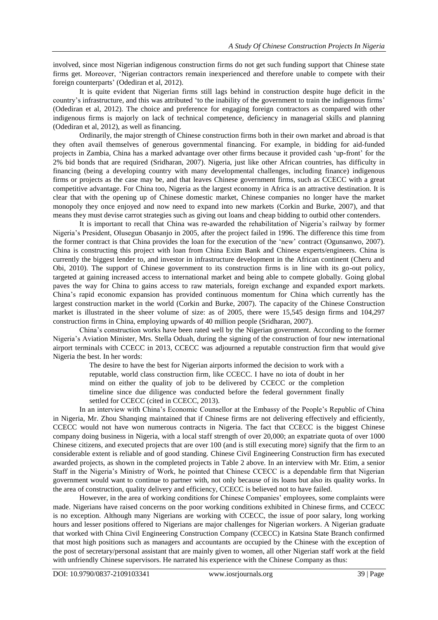involved, since most Nigerian indigenous construction firms do not get such funding support that Chinese state firms get. Moreover, "Nigerian contractors remain inexperienced and therefore unable to compete with their foreign counterparts' (Odediran et al, 2012).

It is quite evident that Nigerian firms still lags behind in construction despite huge deficit in the country's infrastructure, and this was attributed 'to the inability of the government to train the indigenous firms' (Odediran et al, 2012). The choice and preference for engaging foreign contractors as compared with other indigenous firms is majorly on lack of technical competence, deficiency in managerial skills and planning (Odediran et al, 2012), as well as financing.

Ordinarily, the major strength of Chinese construction firms both in their own market and abroad is that they often avail themselves of generous governmental financing. For example, in bidding for aid-funded projects in Zambia, China has a marked advantage over other firms because it provided cash "up-front" for the 2% bid bonds that are required (Sridharan, 2007). Nigeria, just like other African countries, has difficulty in financing (being a developing country with many developmental challenges, including finance) indigenous firms or projects as the case may be, and that leaves Chinese government firms, such as CCECC with a great competitive advantage. For China too, Nigeria as the largest economy in Africa is an attractive destination. It is clear that with the opening up of Chinese domestic market, Chinese companies no longer have the market monopoly they once enjoyed and now need to expand into new markets (Corkin and Burke, 2007), and that means they must devise carrot strategies such as giving out loans and cheap bidding to outbid other contenders.

It is important to recall that China was re-awarded the rehabilitation of Nigeria"s railway by former Nigeria"s President, Olusegun Obasanjo in 2005, after the project failed in 1996. The difference this time from the former contract is that China provides the loan for the execution of the "new" contract (Ogunsanwo, 2007). China is constructing this project with loan from China Exim Bank and Chinese experts/engineers. China is currently the biggest lender to, and investor in infrastructure development in the African continent (Cheru and Obi, 2010). The support of Chinese government to its construction firms is in line with its go-out policy, targeted at gaining increased access to international market and being able to compete globally. Going global paves the way for China to gains access to raw materials, foreign exchange and expanded export markets. China"s rapid economic expansion has provided continuous momentum for China which currently has the largest construction market in the world (Corkin and Burke, 2007). The capacity of the Chinese Construction market is illustrated in the sheer volume of size: as of 2005, there were 15,545 design firms and 104,297 construction firms in China, employing upwards of 40 million people (Sridharan, 2007).

China"s construction works have been rated well by the Nigerian government. According to the former Nigeria"s Aviation Minister, Mrs. Stella Oduah, during the signing of the construction of four new international airport terminals with CCECC in 2013, CCECC was adjourned a reputable construction firm that would give Nigeria the best. In her words:

> The desire to have the best for Nigerian airports informed the decision to work with a reputable, world class construction firm, like CCECC. I have no iota of doubt in her mind on either the quality of job to be delivered by CCECC or the completion timeline since due diligence was conducted before the federal government finally settled for CCECC (cited in CCECC, 2013).

In an interview with China"s Economic Counsellor at the Embassy of the People"s Republic of China in Nigeria, Mr. Zhou Shanqing maintained that if Chinese firms are not delivering effectively and efficiently, CCECC would not have won numerous contracts in Nigeria. The fact that CCECC is the biggest Chinese company doing business in Nigeria, with a local staff strength of over 20,000; an expatriate quota of over 1000 Chinese citizens, and executed projects that are over 100 (and is still executing more) signify that the firm to an considerable extent is reliable and of good standing. Chinese Civil Engineering Construction firm has executed awarded projects, as shown in the completed projects in Table 2 above. In an interview with Mr. Etim, a senior Staff in the Nigeria"s Ministry of Work, he pointed that Chinese CCECC is a dependable firm that Nigerian government would want to continue to partner with, not only because of its loans but also its quality works. In the area of construction, quality delivery and efficiency, CCECC is believed not to have failed.

However, in the area of working conditions for Chinese Companies" employees, some complaints were made. Nigerians have raised concerns on the poor working conditions exhibited in Chinese firms, and CCECC is no exception. Although many Nigerians are working with CCECC, the issue of poor salary, long working hours and lesser positions offered to Nigerians are major challenges for Nigerian workers. A Nigerian graduate that worked with China Civil Engineering Construction Company (CCECC) in Katsina State Branch confirmed that most high positions such as managers and accountants are occupied by the Chinese with the exception of the post of secretary/personal assistant that are mainly given to women, all other Nigerian staff work at the field with unfriendly Chinese supervisors. He narrated his experience with the Chinese Company as thus: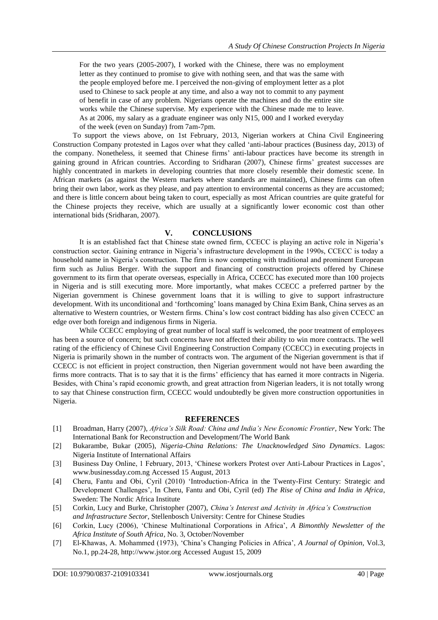For the two years (2005-2007), I worked with the Chinese, there was no employment letter as they continued to promise to give with nothing seen, and that was the same with the people employed before me. I perceived the non-giving of employment letter as a plot used to Chinese to sack people at any time, and also a way not to commit to any payment of benefit in case of any problem. Nigerians operate the machines and do the entire site works while the Chinese supervise. My experience with the Chinese made me to leave. As at 2006, my salary as a graduate engineer was only N15, 000 and I worked everyday of the week (even on Sunday) from 7am-7pm.

To support the views above, on 1st February, 2013, Nigerian workers at China Civil Engineering Construction Company protested in Lagos over what they called "anti-labour practices (Business day, 2013) of the company. Nonetheless, it seemed that Chinese firms' anti-labour practices have become its strength in gaining ground in African countries. According to Sridharan (2007), Chinese firms" greatest successes are highly concentrated in markets in developing countries that more closely resemble their domestic scene. In African markets (as against the Western markets where standards are maintained), Chinese firms can often bring their own labor, work as they please, and pay attention to environmental concerns as they are accustomed; and there is little concern about being taken to court, especially as most African countries are quite grateful for the Chinese projects they receive, which are usually at a significantly lower economic cost than other international bids (Sridharan, 2007).

#### **V. CONCLUSIONS**

It is an established fact that Chinese state owned firm, CCECC is playing an active role in Nigeria"s construction sector. Gaining entrance in Nigeria's infrastructure development in the 1990s, CCECC is today a household name in Nigeria"s construction. The firm is now competing with traditional and prominent European firm such as Julius Berger. With the support and financing of construction projects offered by Chinese government to its firm that operate overseas, especially in Africa, CCECC has executed more than 100 projects in Nigeria and is still executing more. More importantly, what makes CCECC a preferred partner by the Nigerian government is Chinese government loans that it is willing to give to support infrastructure development. With its unconditional and "forthcoming" loans managed by China Exim Bank, China serves as an alternative to Western countries, or Western firms. China"s low cost contract bidding has also given CCECC an edge over both foreign and indigenous firms in Nigeria.

While CCECC employing of great number of local staff is welcomed, the poor treatment of employees has been a source of concern; but such concerns have not affected their ability to win more contracts. The well rating of the efficiency of Chinese Civil Engineering Construction Company (CCECC) in executing projects in Nigeria is primarily shown in the number of contracts won. The argument of the Nigerian government is that if CCECC is not efficient in project construction, then Nigerian government would not have been awarding the firms more contracts. That is to say that it is the firms' efficiency that has earned it more contracts in Nigeria. Besides, with China"s rapid economic growth, and great attraction from Nigerian leaders, it is not totally wrong to say that Chinese construction firm, CCECC would undoubtedly be given more construction opportunities in Nigeria.

#### **REFERENCES**

- [1] Broadman, Harry (2007), *Africa's Silk Road: China and India's New Economic Frontier*, New York: The International Bank for Reconstruction and Development/The World Bank
- [2] Bukarambe, Bukar (2005), *Nigeria-China Relations: The Unacknowledged Sino Dynamics*. Lagos: Nigeria Institute of International Affairs
- [3] Business Day Online, 1 February, 2013, 'Chinese workers Protest over Anti-Labour Practices in Lagos', [www.businessday.com.ng](http://www.businessday.com.ng/) Accessed 15 August, 2013
- [4] Cheru, Fantu and Obi, Cyril (2010) "Introduction-Africa in the Twenty-First Century: Strategic and Development Challenges", In Cheru, Fantu and Obi, Cyril (ed) *The Rise of China and India in Africa*, Sweden: The Nordic Africa Institute
- [5] Corkin, Lucy and Burke, Christopher (2007), *China's Interest and Activity in Africa's Construction and Infrastructure Sector*, Stellenbosch University: Centre for Chinese Studies
- [6] Corkin, Lucy (2006), "Chinese Multinational Corporations in Africa", *A Bimonthly Newsletter of the Africa Institute of South Africa*, No. 3, October/November
- [7] El-Khawas, A. Mohammed (1973), "China"s Changing Policies in Africa", *A Journal of Opinion,* Vol.3, No.1, pp.24-28[, http://www.jstor.org](http://www.jstor.org/) Accessed August 15, 2009